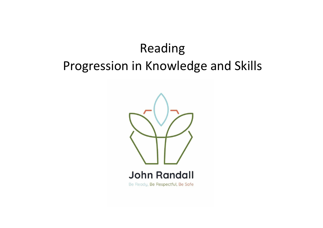# Reading Progression in Knowledge and Skills

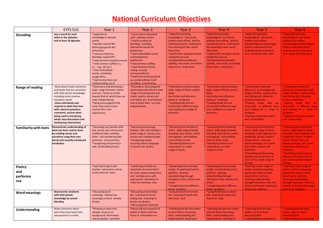### **National Curriculum Objectives**

|                                  | <b>EYFS ELG</b>                                                                                                                                                                                                                                                                                                                                | Year 1                                                                                                                                                                                                                                                                                                                                                               | Year 2                                                                                                                                                                                                                                                                                                                                                                                 | Year 3                                                                                                                                                                                                                                                                                                       | Year 4                                                                                                                                                                                                                                                                                                       | Year 5                                                                                                                                                                                                                                                                                                                                   | Year 6                                                                                                                                                                                                                                                                                                                                  |
|----------------------------------|------------------------------------------------------------------------------------------------------------------------------------------------------------------------------------------------------------------------------------------------------------------------------------------------------------------------------------------------|----------------------------------------------------------------------------------------------------------------------------------------------------------------------------------------------------------------------------------------------------------------------------------------------------------------------------------------------------------------------|----------------------------------------------------------------------------------------------------------------------------------------------------------------------------------------------------------------------------------------------------------------------------------------------------------------------------------------------------------------------------------------|--------------------------------------------------------------------------------------------------------------------------------------------------------------------------------------------------------------------------------------------------------------------------------------------------------------|--------------------------------------------------------------------------------------------------------------------------------------------------------------------------------------------------------------------------------------------------------------------------------------------------------------|------------------------------------------------------------------------------------------------------------------------------------------------------------------------------------------------------------------------------------------------------------------------------------------------------------------------------------------|-----------------------------------------------------------------------------------------------------------------------------------------------------------------------------------------------------------------------------------------------------------------------------------------------------------------------------------------|
| <b>Decoding</b>                  | Say a sound for each<br>letter in the alphabet<br>and at least 10 digraphs                                                                                                                                                                                                                                                                     | *apply phonic<br>knowledge to decode<br>words.<br>*speedily read all 40+<br>letters/groups for 40+<br>phonemes.<br>*read accurately by<br>blending taught GPC.<br>*read common exception words<br>*read common suffixes (-s, -<br>es, - ing, -ed, etc.)<br>*read multisyllable<br>words containing<br>taught GPCs.<br>*read contractions and<br>understanding use of | *secure phonic decoding<br>until reading is fluent.<br>*read accurately by<br>blending, including<br>alternative sounds for<br>graphemes.<br>*read multisyllable words<br>containing these<br>graphemes.<br>*read common suffixes.<br>*read exception words,<br>noting unusual<br>correspondences.<br>*read most words quickly &<br>accurately without overt<br>sounding and blending. | *apply their growing<br>knowledge of root words,<br>prefixes and suffixes, both to<br>read aloud and to understand<br>the meaning of new words<br>they meet.<br>*read further exception words,<br>noting the unusual<br>correspondences between<br>spelling and sound, and where<br>these occur in the word. | *apply their growing<br>knowledge of root words,<br>prefixes and suffixes, both to<br>read aloud and to understand<br>the meaning of new words<br>they meet.<br>*read further exception words,<br>noting the unusual<br>correspondences between<br>spelling and sound, and where<br>these occur in the word. | *apply their growing<br>knowledge of root words,<br>prefixes and suffixes<br>(morphology and etymology),<br>both to read aloud and to<br>understand the meaning of<br>new words that they meet.                                                                                                                                          | *apply their growing<br>knowledge of root words,<br>prefixes and suffixes<br>(morphology and etymology),<br>both to read aloud and to<br>understand the meaning of<br>new words that they meet.                                                                                                                                         |
| <b>Range of reading</b>          | -Read aloud simple sentences<br>and books that are consistent<br>with their phonic knowledge,<br>including some common<br>exception words<br>-Listen attentively and<br>respond to what they hear<br>with relevant questions,<br>comments, actions when<br>being read to and during<br>whole class discussions and<br>small group interactions | *listening to and discussing a<br>wide range of poems, stories<br>and non-fiction at a level<br>beyond that at which they can<br>read independently.<br>*being encouraged to link<br>what they read or hear<br>read to their own<br>experiences.                                                                                                                     | *listening to, discussing and<br>expressing views about a wide<br>range of contemporary and<br>classic poetry, stories and<br>non-fiction at a level beyond<br>that at which they can read<br>independently.                                                                                                                                                                           | *listening to and discussing a<br>wide range of fiction, poetry,<br>plays,<br>non-fiction and reference<br>books or textbooks.<br>*reading books that are<br>structured in different ways<br>and reading for a range of<br>purposes.                                                                         | *listening to and discussing a<br>wide range of fiction, poetry,<br>plays,<br>non-fiction and reference<br>books or textbooks.<br>*reading books that are<br>structured in different ways<br>and reading for a range of<br>purposes.                                                                         | *continuing to read and<br>discuss an increasingly wide<br>range of fiction, poetry, plays,<br>non-fiction and reference<br>books or textbooks.<br>*reading books that are<br>structured in different ways<br>and reading for a range of<br>purposes.<br>*making comparisons within<br>and across books.                                 | *continuing to read and<br>discuss an increasingly wide<br>range of fiction, poetry, plays,<br>non-fiction and reference<br>books or textbooks.<br>*reading books that are<br>structured in different ways<br>and reading for a range of<br>purposes.<br>*making comparisons within<br>and across books.                                |
| <b>Familiarity with texts</b>    | Demonstrate understanding of<br>what has been read to them<br>by retelling stories and<br>narratives using their own<br>words and recently introduced<br>vocabulary                                                                                                                                                                            | *becoming very familiar with<br>key stories, fairy stories and<br>traditional tales, retelling<br>them and considering their<br>particular characteristics.<br>*recognising and joining in<br>with predictable phrases.                                                                                                                                              | *becoming increasingly<br>familiar with and retelling a<br>wider range of stories, fairy<br>stories and traditional tales.<br>*recognising simple<br>recurring literary language<br>in stories and poetry.                                                                                                                                                                             | *increasing their familiarity<br>with a wide range of books,<br>including fairy stories, myths<br>and legends, and retelling<br>some of these orally<br>*identifying themes and<br>conventions in a wide<br>range of books.                                                                                  | *increasing their familiarity<br>with a wide range of books,<br>including fairy stories, myths<br>and legends, and retelling<br>some of these orally.<br>*identifying themes and<br>conventions in a wide<br>range of books.                                                                                 | *increasing their familiarity<br>with a wide range of books,<br>including myths, legends and<br>traditional stories, modern<br>fiction, fiction from our<br>literary heritage, and books<br>from other cultures and<br>traditions.<br>*identifying and discussing<br>themes and conventions in<br>and across a wide range of<br>writing. | *increasing their familiarity<br>with a wide range of books,<br>including myths, legends and<br>traditional stories, modern<br>fiction, fiction from our<br>literary heritage, and books<br>from other cultures and<br>traditions.<br>*identifying and discussing<br>themes and conventions in<br>and across a wide range of<br>writing |
| Poetry<br>and<br>performa<br>nce |                                                                                                                                                                                                                                                                                                                                                | *learning to appreciate<br>rhymes and poems, and to<br>recite some by heart.                                                                                                                                                                                                                                                                                         | *continuing to build up a<br>repertoire of poems learnt<br>by heart, appreciating these<br>and reciting some, with<br>appropriate intonation to<br>make the meaning clear.                                                                                                                                                                                                             | *preparing poems and play<br>scripts to read aloud and to<br>perform, showing<br>understanding through<br>intonation, tone, volume and<br>action.<br>*recognising some different<br>forms of poetry.                                                                                                         | *preparing poems and play<br>scripts to read aloud and to<br>perform, showing<br>understanding through<br>intonation, tone, volume and<br>action.<br>*recognising some different<br>forms of poetry.                                                                                                         | *learning a wider range of<br>poetry by heart preparing<br>poems and plays to read<br>aloud and to perform,<br>showing understanding<br>through intonation, tone and<br>volume so that the meaning is<br>clear to an audience.                                                                                                           | *learning a wider range of<br>poetry by heart preparing<br>poems and plays to read<br>aloud and to perform,<br>showing understanding<br>through intonation, tone and<br>volume so that the meaning is<br>clear to an audience.                                                                                                          |
| <b>Word meanings</b>             | <b>Read words consistent</b><br>with their phonic<br>knowledge by sound--<br>blending                                                                                                                                                                                                                                                          | *discussing word<br>meanings, linking new<br>meanings to those already<br>known.                                                                                                                                                                                                                                                                                     | *discussing and clarifying<br>the meanings of words,<br>linking new meanings to<br>known vocabulary.<br>*discussing their favourite                                                                                                                                                                                                                                                    | *using dictionaries to check<br>the meaning of words that<br>they have read.                                                                                                                                                                                                                                 | *using dictionaries to check<br>the meaning of words that<br>they have read.                                                                                                                                                                                                                                 |                                                                                                                                                                                                                                                                                                                                          |                                                                                                                                                                                                                                                                                                                                         |
| <b>Understanding</b>             | Make comments about<br>what they have heard and<br>ask questions to clarify                                                                                                                                                                                                                                                                    | *drawing on what they<br>already know or on<br>background information<br>and vocabulary provided                                                                                                                                                                                                                                                                     | *discussing the sequence of<br>events in books and how<br>items of information are                                                                                                                                                                                                                                                                                                     | *checking that the text makes<br>sense to them, discussing<br>their understanding and<br>explaining the meaning of                                                                                                                                                                                           | *checking that the text makes<br>sense to them, discussing<br>their understanding and<br>explaining the meaning of                                                                                                                                                                                           | * checking that the book<br>makes sense to them,<br>discussing their<br>understanding and exploring                                                                                                                                                                                                                                      | * checking that the book<br>makes sense to them,<br>discussing their<br>understanding and exploring                                                                                                                                                                                                                                     |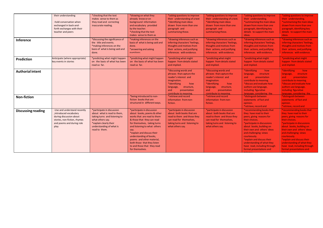| <b>Inference</b>          | their understanding<br>-hold conversation when<br>exchanged in back-and-<br>forth exchanges with their<br>teacher and peers                             | *checking that the text<br>makes sense to them as<br>they read and correcting<br>inaccurate reading.<br>*discussing the significance of<br>the title and events.<br>*making inferences on the<br>basis of what is being said and<br>done. | *drawing on what they<br>already know or on<br>background information<br>and vocabulary provided<br>by the teacher.<br>*checking that the text<br>makes sense to them as<br>*making inferences on the<br>basis of what is being said and<br>done.<br>*answering and asking<br>annitaann                                                                              | *asking questions to improve<br>their understanding of a text<br>*identifying main ideas<br>drawn from more than one<br>paragraph and<br>summarising these.<br>*drawing inferences such as<br>inferring characters' feelings,<br>thoughts and motives from<br>their actions, and justifying<br>inferences with evidence. | *asking questions to improve<br>their understanding of a text.<br>*identifying main ideas<br>drawn from more than one<br>paragraph and<br>summarising these.<br>*drawing inferences such as<br>inferring characters' feelings,<br>thoughts and motives from<br>their actions, and justifying<br>inferences with evidence. | *asking questions to improve<br>their understanding.<br>*summarising the main ideas<br>drawn from more than one<br>paragraph, identifying key<br>details to support the main<br>ideas.<br>*drawing inferences such as<br>inferring characters' feelings,<br>thoughts and motives from<br>their actions, and justifying<br>inferences with evidence.           | *asking questions to improve<br>their understanding.<br>*summarising the main ideas<br>drawn from more than one<br>paragraph, identifying key<br>details to support the main<br>ideas.<br>*drawing inferences such as<br>inferring characters' feelings,<br>thoughts and motives from<br>their actions, and justifying<br>inferences with evidence.           |
|---------------------------|---------------------------------------------------------------------------------------------------------------------------------------------------------|-------------------------------------------------------------------------------------------------------------------------------------------------------------------------------------------------------------------------------------------|----------------------------------------------------------------------------------------------------------------------------------------------------------------------------------------------------------------------------------------------------------------------------------------------------------------------------------------------------------------------|--------------------------------------------------------------------------------------------------------------------------------------------------------------------------------------------------------------------------------------------------------------------------------------------------------------------------|---------------------------------------------------------------------------------------------------------------------------------------------------------------------------------------------------------------------------------------------------------------------------------------------------------------------------|---------------------------------------------------------------------------------------------------------------------------------------------------------------------------------------------------------------------------------------------------------------------------------------------------------------------------------------------------------------|---------------------------------------------------------------------------------------------------------------------------------------------------------------------------------------------------------------------------------------------------------------------------------------------------------------------------------------------------------------|
| <b>Prediction</b>         | Anticipate (where appropriate)<br>ey events in stories                                                                                                  | *predicting what might happen<br>on the basis of what has been<br>read so far.                                                                                                                                                            | *predicting what might happen<br>on the basis of what has been<br>read so far.                                                                                                                                                                                                                                                                                       | *predicting what might<br>happen from details stated<br>and implied.                                                                                                                                                                                                                                                     | *predicting what might<br>happen from details stated<br>and implied.                                                                                                                                                                                                                                                      | *predicting what might<br>happen from details stated<br>and implied.                                                                                                                                                                                                                                                                                          | *predicting what might<br>happen from details stated<br>and implied.                                                                                                                                                                                                                                                                                          |
| <b>Authorial intent</b>   |                                                                                                                                                         |                                                                                                                                                                                                                                           |                                                                                                                                                                                                                                                                                                                                                                      | *discussing words and<br>phrases that capture the<br>reader's interest and<br>imagination.<br>*identifying<br>how<br>language,<br>structure,<br>and<br>presentation<br>contribute to meaning                                                                                                                             | *discussing words and<br>phrases that capture the<br>reader's interest and<br>imagination.<br>*identifying<br>how<br>structure,<br>language,<br>and<br>presentation<br>contribute to meaning.                                                                                                                             | *identifying<br>how<br>language,<br>structure<br>and<br>presentation<br>contribute to meaning.<br>*discuss and evaluate how<br>authors use language,<br>including figurative<br>language, considering the                                                                                                                                                     | *identifying<br>how<br>language,<br>structure<br>and<br>presentation<br>contribute to meaning.<br>*discuss and evaluate how<br>authors use language,<br>including figurative<br>language, considering the                                                                                                                                                     |
| <b>Non-fiction</b>        |                                                                                                                                                         |                                                                                                                                                                                                                                           | *being introduced to non-<br>fiction books that are<br>structured in different ways.                                                                                                                                                                                                                                                                                 | *retrieve and record<br>information from non-<br>fiction.                                                                                                                                                                                                                                                                | *retrieve and record<br>information from non-<br>fiction.                                                                                                                                                                                                                                                                 | *distinguish between<br>statements of fact and<br>opinion.<br>*retrieve, record and                                                                                                                                                                                                                                                                           | *distinguish between<br>statements of fact and<br>opinion.<br>*retrieve, record and                                                                                                                                                                                                                                                                           |
| <b>Discussing reading</b> | -Use and understand recently<br>, introduced vocabulary<br>during discussion about<br>stories, non-fiction, rhymes<br>and poems and during role<br>play | *participate in discussion<br>about what is read to them,<br>taking turns and listening to<br>what others say.<br>*explain clearly their<br>understanding of what is<br>read to them.                                                     | *participate in discussion<br>about books, poems & other<br>works that are read to them<br>& those that they can read<br>for themselves, taking turns<br>and listening to what others<br>say.<br>*explain and discuss their<br>understanding of books,<br>poems and other material,<br>both those that they listen<br>to and those that they read<br>for themselves. | *participate in discussion<br>about both books that are<br>read to them and those they<br>can read for themselves,<br>taking turns and listening to<br>what others say.                                                                                                                                                  | *participate in discussion<br>about both books that are<br>read to them and those they<br>can read for themselves,<br>taking turns and listening to<br>what others say.                                                                                                                                                   | *recommending books that<br>they have read to their<br>peers, giving reasons for<br>their choices.<br>*participate in discussions<br>about books, building on<br>their own and others' ideas<br>and challenging views<br>courteously.<br>*explain and discuss their<br>understanding of what they<br>have read, including through<br>formal presentations and | *recommending books that<br>they have read to their<br>peers, giving reasons for<br>their choices.<br>*participate in discussions<br>about books, building on<br>their own and others' ideas<br>and challenging views<br>courteously.<br>*explain and discuss their<br>understanding of what they<br>have read, including through<br>formal presentations and |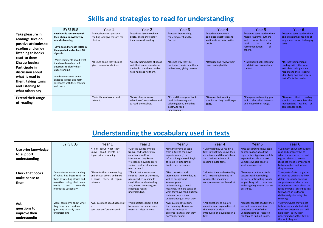#### **Skills and strategies to read for understanding**

|                                                                                                                                                             | <b>EYFS ELG</b>                                                                                                                                                                                          | Year 1                                                                 | Year 2                                                                                                                 | Year 3                                                                                                               | Year 4                                                                                 | Year 5                                                                                                                                      | Year 6                                                                                                                                                                 |
|-------------------------------------------------------------------------------------------------------------------------------------------------------------|----------------------------------------------------------------------------------------------------------------------------------------------------------------------------------------------------------|------------------------------------------------------------------------|------------------------------------------------------------------------------------------------------------------------|----------------------------------------------------------------------------------------------------------------------|----------------------------------------------------------------------------------------|---------------------------------------------------------------------------------------------------------------------------------------------|------------------------------------------------------------------------------------------------------------------------------------------------------------------------|
| Take pleasure in<br>reading: Develop<br>positive attitudes to<br>reading and enjoy<br>listening to books                                                    | Read words consistent with<br>their phonic knowledge by<br>sound-blending<br>-Say a sound for each letter in<br>the alphabet and at least 10<br>digraphs                                                 | *Select books for personal<br>reading and give reasons for<br>choices. | *Read and listen to whole<br>books, make choices for<br>their personal reading.                                        | *Sustain their reading<br>for enjoyment and to<br>find out.                                                          | *Read independently<br>complete short texts and<br>sections from information<br>books. | *Listen to texts read to them.<br>*Read favourite authors<br>choose books to<br>and<br>the<br>read<br>on<br>of<br>recommendation<br>others. | *Listen to texts read to them<br>and sustain their reading of<br>longer and more challenging<br>texts.                                                                 |
| read to them<br><b>Discuss books:</b><br>Participate in<br>discussion about<br>what is read to<br>them, taking turns<br>and listening to<br>what others say | -Make comments about what<br>they have heard and ask<br>questions to clarify their<br>understanding<br>-Hold conversation when<br>engaged in back-and-forth<br>exchanges with their teacher<br>and peers | *Discuss books they like and<br>give reasons for choices.              | *Justify their choices of books<br>and their preferences from<br>the books they have read or<br>have had read to them. | *Discuss why they like<br>particular books or authors<br>with others, giving reasons.                                | *Describe and review their<br>own reading habits.                                      | *Talk about books referring<br>to details and examples in<br>the text.                                                                      | *Discuss their personal<br>reading with others and<br>articulate their personal<br>response to their reading,<br>identifying how and why a<br>text affects the reader. |
| <b>Extend their range</b><br>of reading                                                                                                                     |                                                                                                                                                                                                          | *Select books to read and<br>listen to.                                | *Make choices from a<br>selection of texts to hear and<br>to read themselves.                                          | *Extend the range of books<br>read by browsing and<br>selecting texts, including<br>poetry, to read<br>indenendently | *Develop their reading<br>stamina as they read longer<br>texts.                        | *Plan personal reading goals<br>which reflect their interests<br>and extend their range.                                                    | *Develop<br>their<br>reading<br>stamina and complete the<br>independent<br>reading of<br>some longer texts.                                                            |

#### **Understanding the vocabulary used in texts**

|                                                      | <b>EYFS ELG</b>                                                                                                                                                           | Year 1                                                                                                     | Year 2                                                                                                                                                                              | Year 3                                                                                                                                                                                                                                 | Year 4                                                                                                                                               | Year 5                                                                                                                                                                  | Year 6                                                                                                                                                                                                                                                               |
|------------------------------------------------------|---------------------------------------------------------------------------------------------------------------------------------------------------------------------------|------------------------------------------------------------------------------------------------------------|-------------------------------------------------------------------------------------------------------------------------------------------------------------------------------------|----------------------------------------------------------------------------------------------------------------------------------------------------------------------------------------------------------------------------------------|------------------------------------------------------------------------------------------------------------------------------------------------------|-------------------------------------------------------------------------------------------------------------------------------------------------------------------------|----------------------------------------------------------------------------------------------------------------------------------------------------------------------------------------------------------------------------------------------------------------------|
| Use prior knowledge<br>to support<br>understanding   |                                                                                                                                                                           | *Think about what they<br>about events or<br>know<br>topics prior to reading.                              | *Link the events or topic<br>from a text to their own<br>experience and/ or<br>information they know.<br>*Recognise how books are<br>similar to others they have<br>read or heard.  | *Link the events or topic<br>from a text to their own<br>experience and/ or<br>information gathered. Begin<br>to make links to similar<br>books they have read.                                                                        | *Link what they've read in a<br>text to what they know, their<br>experience and that of others,<br>and their experience of<br>reading similar texts. | *Use background knowledge<br>or information about the<br>topic or text type to establish<br>expectations about a text.<br>Compare what is read to<br>what was expected. | *Comment on what they have<br>read and compare this to<br>what they expected to read,<br>e.g. in relation to events,<br>ideas etc. Make comparisons<br>between a text and others<br>they have read.                                                                  |
| <b>Check that books</b><br>make sense to<br>them     | Demonstrate understanding<br>of what has been read to<br>them by retelling stories and<br>narratives using their own<br>and<br>recently<br>words<br>introduced vocabulary | *Listen to their own reading,<br>and that of others, and make<br>check at regular<br>a sense<br>intervals. | *Check that a text makes<br>sense to them as they read,<br>pausing when reading to<br>check their understanding<br>and, where necessary, re-<br>reading to regain<br>understanding. | *Use contextual and<br>grammatical knowledge, as<br>well as background<br>knowledge and<br>understanding of word<br>meanings, to make sense of<br>what they have read. Put into<br>their own words their<br>understanding of what they | *Monitor their understanding<br>of a text and take steps to<br>retrieve the meaning if<br>comprehension has been lost.                               | *Develop an active attitude<br>towards reading: seeking<br>answers, anticipating events,<br>empathising with characters<br>and imagining events that are<br>described.  | *Link parts of a text together<br>in order to understand how<br>details or specific sections<br>support a main idea or point.<br>Accept uncertainty about the<br>ideas or events described in a<br>text where an author is<br>deliberately obscuring the<br>meaning. |
| Ask<br>questions to<br>improve their<br>understandin | Make, comments about what<br>they have heard and ask<br>questions to clarify their<br>understanding                                                                       | *Ask questions about aspects of<br>text they don't understand.                                             | *Ask questions about a text<br>to ensure they understand<br>events or ideas in a text.                                                                                              | *Ask questions to clarify<br>the meaning of events or<br>ideas introduced or<br>explored in a text that they<br>don't understand.                                                                                                      | *Ask questions to explore<br>meanings and explanations of<br>the events or ideas<br>introduced or developed in a<br>text.                            | *Identify aspects of a text they<br>are not clear about. Ask<br>questions to clarify their<br>understanding or research<br>the topic to find out more.                  | *Identify where they do not<br>fully understand a text. Ask<br>effective questions that will<br>help them clarify their<br>understanding of the text or<br>the topic they are                                                                                        |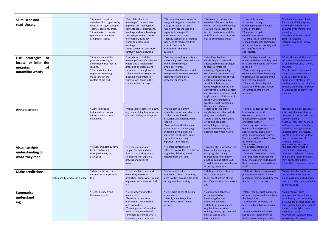| Skim, scan and<br>read closely                                                |                                  | *Skim read to gain an<br>overview of a page/text by<br>focusing on significant parts<br>-names, captions, titles.<br>*Scan the text to locate<br>specific information-<br>using titles, labels. | *Speculate about the<br>meaning of the section or<br>page by skim reading title,<br>contents page, illustrations,<br>headings and sub- headings.<br>*Scan pages to find specific<br>information, using key<br>words or phrases and<br>headings.<br>*Read sections of text more<br>carefully, e.g. to answer a | *Skim opening sentences of each<br>paragraph to get an overview of<br>a page or section of text.<br>*Scan contents, indexes and<br>pages to locate specific<br>information accurately.<br>*Identify sections of a text that<br>they need to read carefully in<br>order to find specific<br>information or answer a<br>question. | *Skim read a text to get an<br>overview of it, scan for key<br>words, phrases and headings.<br>*Decide which sections of<br>text to read more carefully<br>to fulfil a particular purpose,<br>e.g. to summarise a text.                                                                                                                                                                                                                                                             | *Locate information<br>accurately through<br>skimming to gain an overall<br>sense of the text.<br>*Scan a text to gain<br>specific information.<br>*Use the skills of skimming and<br>scanning to identify sections of<br>text to read more carefully and<br>re-read/read on as<br>appropriate.                                                    | *Evaluate the value of a text<br>for an identified purpose,<br>drawing on information<br>acquired by skimming and<br>scanning.<br>*Read carefully sections of<br>texts to research<br>information and to answer<br>questions.                                                                                                                    |
|-------------------------------------------------------------------------------|----------------------------------|-------------------------------------------------------------------------------------------------------------------------------------------------------------------------------------------------|---------------------------------------------------------------------------------------------------------------------------------------------------------------------------------------------------------------------------------------------------------------------------------------------------------------|---------------------------------------------------------------------------------------------------------------------------------------------------------------------------------------------------------------------------------------------------------------------------------------------------------------------------------|-------------------------------------------------------------------------------------------------------------------------------------------------------------------------------------------------------------------------------------------------------------------------------------------------------------------------------------------------------------------------------------------------------------------------------------------------------------------------------------|----------------------------------------------------------------------------------------------------------------------------------------------------------------------------------------------------------------------------------------------------------------------------------------------------------------------------------------------------|--------------------------------------------------------------------------------------------------------------------------------------------------------------------------------------------------------------------------------------------------------------------------------------------------------------------------------------------------|
| Use strategies to<br>locate or infer the<br>0f<br>meaning<br>unfamiliar words |                                  | *Speculate about the<br>possible meanings of<br>unfamiliar words met in<br>reading.<br>*Check whether the<br>suggested meanings<br>make sense in the<br>context of the text.                    | *Learn how to find the<br>meaning of an unfamiliar word<br>where this is explained in<br>preceding or subsequent<br>sentences or in a glossary.<br>*Check whether a suggested<br>meaning of an unfamiliar<br>word makes sense in the<br>context of the passage.                                               | *Practise re-reading a sentence<br>and reading on in order to locate<br>or infer the meaning of<br>unfamiliar words.<br>*Discuss unfamiliar words and<br>their possible meaning to clarify<br>their understanding of a<br>sentence or passage.                                                                                  | *Identify unfamiliar<br>vocabulary in a text and<br>adopt appropriate strategies<br>to locate or infer the<br>meaning. (E.g. re-reading<br>surrounding sentences and/<br>or paragraphs to identify an<br>explanation or develop a<br>sensible inference, by<br>identifying root words and<br>derivatives, using the context<br>and syntax, or using aids such<br>as glossaries or dictionaries.)<br>Identify where unfamiliar<br>words are not explained in<br>the text and where a | *Identify when they do not<br>understand the vocabulary used<br>in a text and need to clarify the<br>meaning.<br>*Give increasingly precise<br>explanations of word meanings<br>that fit with the context of the<br>text they are reading.<br>*Check the plausibility and<br>accuracy of their explanation<br>or inference of the word<br>meaning. | *Check the plausibility and<br>accuracy of their explanation<br>of or inference about a word<br>meaning.<br>*Identify when they do not<br>understand the vocabulary<br>used in a text and apply<br>appropriate strategies (re $-$<br>reading, reading on, using the<br>context, knowledge of syntax<br>or word roots) to clarify the<br>meaning. |
| <b>Annotate text</b>                                                          |                                  | *Mark significant<br>incidents in a story or<br>information in a non-<br>fiction text.                                                                                                          | *Make simple notes on a text,<br>e.g. underlining key words or<br>phrases, adding headings etc.                                                                                                                                                                                                               | *Mark a text to identify<br>unfamiliar words and ideas to be<br>clarified or explored in<br>discussion and subsequent re-<br>reading.<br>*Read and identify the main<br>points or gist of the text, e.g.<br>underlining or highlighting<br>key words or phrases, listing<br>key points, or marking<br>important information.    | *Mark texts to identify<br>vocabulary and ideas which<br>they need to clarify.<br>*Mark a text by highlighting<br>or adding headings,<br>underlining or noting<br>words or sentences, and<br>adding notes where helpful.                                                                                                                                                                                                                                                            | *Annotate a text to identify key<br>information or identify<br>elements they don't<br>understand or want to revisit<br>or explore further.<br>*Note key points of what has<br>been read, using simple<br>abbreviations, diagrams or<br>other simple marking system.<br>Use these as the basis of follow<br>up and discussion if                    | *Identify and mark aspects of<br>a text which are unclear in<br>order to discuss or revisit on a<br>second reading.<br>*As they read, identify, mark<br>and annotate extracts which<br>they think are significant to<br>understanding characters,<br>events or ideas or an author's<br>point of view or use of<br>language, adding a             |
| <b>Visualise their</b><br>understanding of<br>what they read                  |                                  | *Visualise what they have<br>been reading, e.g.<br>through drawing or<br>acting out.                                                                                                            | *Use illustrations and<br>simple formats such as<br>flow charts or diagrams to<br>re-present and explain a<br>process or a series of<br>events.                                                                                                                                                               | *Re-present information<br>gathered from a text as a picture<br>or graphic, labelling it with<br>material from the text.                                                                                                                                                                                                        | *Visualise the information they<br>have read about, e.g. by<br>mapping, illustrating,<br>representing information<br>graphically, and acting out.<br>*Use information from the text<br>to justify their visual                                                                                                                                                                                                                                                                      | *Re-present information<br>from a text graphically.<br>*Comment on the illustrations<br>and graphic representations<br>they encounter in texts, linking<br>their comments back to the text<br>itself.                                                                                                                                              | *Re-present information<br>from a text graphically.<br>Comment on the illustrations<br>and graphic representations<br>they encounter in texts,<br>linking their comments back                                                                                                                                                                    |
| <b>Make predictions</b>                                                       | Anticipate key events in a story | *Make predictions based<br>on clues such as pictures,<br>titles.                                                                                                                                | *Use immediate clues and<br>what they have read<br>predictions about what is going<br>happen or what they will find<br>out.                                                                                                                                                                                   | *Update and modify<br>predictions about the events,<br>ideas in a text on a regular basis<br>throughout their reading.                                                                                                                                                                                                          | *Make predictions about a<br>text based on prior<br>topic, event or type of text.<br>Modify predictions as they read<br>on.                                                                                                                                                                                                                                                                                                                                                         | *Make regular and increasingly<br>plausible predictions as they<br>modifying their ideas as they read<br>the next part of the text.                                                                                                                                                                                                                | *Make plausible predictions<br>and explain what they are<br>on. Discuss how and why they<br>need to modify their predictions<br>as they read on.                                                                                                                                                                                                 |
| <b>Summarise</b><br>understand<br>ing                                         |                                  | * Retell a story giving<br>the main events.                                                                                                                                                     | *Retell a story giving the<br>main events.<br>*Retell some important<br>information they've found<br>out from a text.<br>*Draw together information<br>from across a number of<br>sentences to sum up what is<br>known about a character,                                                                     | *Retell main points of a story<br>in sequence.<br>*Identify a few key points<br>from across a non-fiction<br>passage.                                                                                                                                                                                                           | *Summarise a sentence<br>or paragraphs by<br>identifying the most<br>important elements.<br>*Make brief summaries at<br>regular intervals when<br>reading, picking up clues and<br>hints as well as what is<br>directly stated.                                                                                                                                                                                                                                                     | *Make regular, brief summaries<br>of what they've read, identifying<br>the key points.<br>*Summarise a complete short<br>text or substantial section of a<br>text.<br>*Summarise what is known<br>about a character, event or<br>topic, explain any inferences                                                                                     | *Make regular, brief<br>summaries of what they've<br>read, linking their summary to<br>previous predictions about the<br>text. Update their ideas about<br>the text in the light of what<br>they've just read.<br>*Summarise 'evidence' from<br>across a text to explain                                                                         |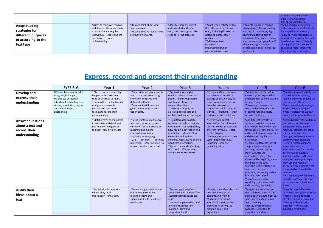|                                                                                                  |                                                                                                                                                                    |                                                                                                                                       |                                                                                    |                                                                                                                                                                                                                       |                                                                                                                                                                                                                                                                              | *Summarise their current<br>understanding about a<br>text at regular intervals.                                                                                                                                                                                                                   |
|--------------------------------------------------------------------------------------------------|--------------------------------------------------------------------------------------------------------------------------------------------------------------------|---------------------------------------------------------------------------------------------------------------------------------------|------------------------------------------------------------------------------------|-----------------------------------------------------------------------------------------------------------------------------------------------------------------------------------------------------------------------|------------------------------------------------------------------------------------------------------------------------------------------------------------------------------------------------------------------------------------------------------------------------------|---------------------------------------------------------------------------------------------------------------------------------------------------------------------------------------------------------------------------------------------------------------------------------------------------|
| <b>Adapt reading</b><br>strategies for<br>different purposes<br>or according to the<br>text type | *Listen to their own reading,<br>and that of others, and make<br>a sense check at regular<br>intervals, re- reading where<br>necessary to regain<br>understanding. | *Stop and think about what<br>they have read.<br>*Put what they've read or heard read, stop reading and take<br>into their own words. | *Identify where they don't<br>understand what they've<br>steps to fix the problem. | *Adapt reading strategies to<br>the different sorts of text<br>read, including IT texts, and<br>different purposes for<br>reading.<br>*Take steps to re-<br>establish<br>understanding when<br>comprehension is lost. | *Apply the range of reading<br>strategies to different reading<br>tasks or circumstances, e.g.<br>skimming a text to gain an<br>overview, slow careful reading<br>and re-reading to grapple with<br>the meaning of a poem,<br>presentation skills in order to<br>perform it. | *Make sensible decisions in<br>order to read most effectively<br>for a specific purpose, e.g.<br>knowing when it is useful to<br>gain an overview of a text and<br>how best to do it, or identify<br>which part of the text needs<br>to be read more carefully to<br>find particular information. |

# **Express, record and present their understanding**

|                                                                                                                               | <b>EYFS ELG</b>                                                                                                                                                             | Year 1                                                                                                                                                                                                                                                                                                                                            | Year 2                                                                                                                                                                                                                                                                                                                                                                                                                                                               | Year <sub>3</sub>                                                                                                                                                                                                                                                                                                                                                                                                                                                                                                                                                                  | Year 4                                                                                                                                                                                                                                                                                                                                                                                                                                                                              | Year 5                                                                                                                                                                                                                                                                                                                                                                                                                                                                                                                                                                                                                                                                                                                                                                                                                           | Year 6                                                                                                                                                                                                                                                                                                                                                                                                                                                                                                                                                                                                                                                                                                                                                                                                                                                       |
|-------------------------------------------------------------------------------------------------------------------------------|-----------------------------------------------------------------------------------------------------------------------------------------------------------------------------|---------------------------------------------------------------------------------------------------------------------------------------------------------------------------------------------------------------------------------------------------------------------------------------------------------------------------------------------------|----------------------------------------------------------------------------------------------------------------------------------------------------------------------------------------------------------------------------------------------------------------------------------------------------------------------------------------------------------------------------------------------------------------------------------------------------------------------|------------------------------------------------------------------------------------------------------------------------------------------------------------------------------------------------------------------------------------------------------------------------------------------------------------------------------------------------------------------------------------------------------------------------------------------------------------------------------------------------------------------------------------------------------------------------------------|-------------------------------------------------------------------------------------------------------------------------------------------------------------------------------------------------------------------------------------------------------------------------------------------------------------------------------------------------------------------------------------------------------------------------------------------------------------------------------------|----------------------------------------------------------------------------------------------------------------------------------------------------------------------------------------------------------------------------------------------------------------------------------------------------------------------------------------------------------------------------------------------------------------------------------------------------------------------------------------------------------------------------------------------------------------------------------------------------------------------------------------------------------------------------------------------------------------------------------------------------------------------------------------------------------------------------------|--------------------------------------------------------------------------------------------------------------------------------------------------------------------------------------------------------------------------------------------------------------------------------------------------------------------------------------------------------------------------------------------------------------------------------------------------------------------------------------------------------------------------------------------------------------------------------------------------------------------------------------------------------------------------------------------------------------------------------------------------------------------------------------------------------------------------------------------------------------|
| Develop and<br>express their<br>understanding<br><b>Answer questions</b><br>about a text and<br>record their<br>understanding | Offer explanations for why<br>things might happen,<br>making use of recently<br>introduced vocabulary from<br>stories, non-fiction, rhymes<br>and poems when<br>appropriate | *Discuss reasons why things<br>happen in the texts they<br>read or are read to them.<br>*Express their understanding<br>orally, and use words,<br>illustrations and given<br>formats to record their<br>understanding.<br>*Match events to characters<br>in narrative and detail and<br>information to objects or<br>topics in non-fiction texts. | *Discuss themes, plots, events<br>and characters, comparing<br>stories by the same and<br>different authors.<br>*Compare the information<br>given about topics in non-<br>fiction texts.<br>*Retrieve information from a<br>text and re-present it in a<br>variety of forms including by<br>matching and linking<br>information, ordering,<br>tabulating and copying.<br>different<br>formats<br>*Use<br>(matching, ordering etc.) to<br>answer questions on a text. | *Express ideas and give<br>opinions about stories and<br>poems, identifying specific<br>words and phrases to<br>support their ideas.<br>*Use simple graphics or<br>illustrations to record and<br>explain their understanding of<br>*Use different formats to<br>retrieve, record and explain<br>information about what they<br>have read in both fiction and<br>non-fiction texts, e.g. flow<br>charts, for and against<br>columns, matrices and charts of<br>significant information.<br>*Record their understanding<br>of a text in different ways,<br>ucina a rango of formate | *Understand and comment<br>on ideas introduced in a<br>passage or section they've<br>read, drawing on evidence<br>from the text to do so.<br>*Compare and contrast<br>justifying their<br>stories,<br>preferences and opinions.<br>*Retrieve and collect<br>information from different<br>sources and re- present it in<br>different forms, e.g. chart,<br>poster, diagram.<br>*Answer questions on a text<br>using different formats<br>(matching, ordering,<br>tabulating, etc.). | *Contribute to a discussion<br>where a group explore their<br>understanding of a topic raised<br>through reading.<br>*Discuss and comment on<br>texts, and present their ideas<br>in appropriate and helpful<br>formats, including<br>*Use different formats to<br>capture, record and explain<br>information about what they<br>have read, e.g. flow charts, for<br>and against columns, matrices<br>and charts of significant<br>information.<br>*Recognise different types of<br>comprehension questions<br>(retrieval/inferential) and<br>know whether the<br>information required to<br>answer will be explicitly stated<br>or implied in the text.<br>*Vary the reading strategies<br>they use to answer<br>questions, depending on the<br>different types asked.<br>*Answer questions by<br>explaining their ideas orally | *Contribute constructively to a<br>discussion about reading,<br>responding to and building on<br>the views of others.<br>*Comment critically, orally, in<br>writing and using graphics<br>where necessary to support<br>them, on the impact of books<br>*Record details retrieved from<br>the text about characters,<br>events and ideas, e.g. by<br>making a comparisons table,<br>true or false grid etc.<br>*Recognise different types of<br>comprehension questions<br>(retrieval/inferential) and<br>know whether the<br>information required for the<br>answer will be explicitly<br>stated or implied in the text.<br>*Vary the reading strategies<br>they use and mode of<br>answering according to what<br>is expected of them by the<br>question.<br>*Use confidently the different<br>formats (matching, ordering<br>etc.) to answer questions on |
| Justify their<br>ideas about a<br>text                                                                                        |                                                                                                                                                                             | *Answer simple questions<br>where they recall<br>information from a text.                                                                                                                                                                                                                                                                         | *Answer simple retrieval and<br>inference questions by<br>making a point and<br>supporting it with 'evidence'<br>from a text.                                                                                                                                                                                                                                                                                                                                        | *Re-read sections of texts<br>carefully to find 'evidence' to<br>support their ideas about a<br>text.<br>*Answer simple retrieval and<br>inference questions by                                                                                                                                                                                                                                                                                                                                                                                                                    | *Support their ideas about a<br>text by quoting or by<br>paraphrasing from it.<br>*Answer retrieval and<br>inferential questions both<br>orally and in writing, by                                                                                                                                                                                                                                                                                                                  | and in writing, including<br>*Evaluate a book or section<br>of it, referring to details and<br>examples in a text to back up<br>their judgement and support<br>their reasoning.<br>*Identify and summarise                                                                                                                                                                                                                                                                                                                                                                                                                                                                                                                                                                                                                       | a text.<br>*Identify material from texts<br>to support an argument, know<br>when it is useful to quote<br>directly, paraphrase or adapt.<br>*Identify and summarise<br>evidence from a text to                                                                                                                                                                                                                                                                                                                                                                                                                                                                                                                                                                                                                                                               |
|                                                                                                                               |                                                                                                                                                                             |                                                                                                                                                                                                                                                                                                                                                   |                                                                                                                                                                                                                                                                                                                                                                                                                                                                      | making a point and<br>supporting it with                                                                                                                                                                                                                                                                                                                                                                                                                                                                                                                                           | making a point, and<br>explaining it.                                                                                                                                                                                                                                                                                                                                                                                                                                               | evidence from a text to<br>support a hypothesis.                                                                                                                                                                                                                                                                                                                                                                                                                                                                                                                                                                                                                                                                                                                                                                                 | support a hypothesis.                                                                                                                                                                                                                                                                                                                                                                                                                                                                                                                                                                                                                                                                                                                                                                                                                                        |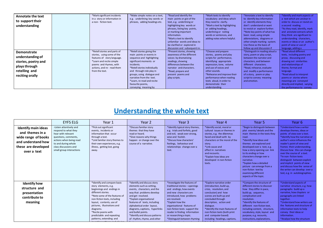| <b>Annotate the text</b><br>to support their<br>understanding                                                      | *Mark significant incidents<br>in a story or information in<br>a non-fiction text.                                                                                                              | *Make simple notes on a text,<br>e.g. underlining key words or<br>phrases, adding headings etc.                                                                                                                                                                                                                             | *Read and identify the<br>main points or gist of the<br>text, e.g. underlining or<br>highlighting key words or<br>phrases, listing key points,<br>or marking important<br>information.<br>*Mark a text to identify<br>unfamiliar words and ideas to<br>be clarified or explored in<br>discussion and subsequent re- | *Mark texts to identify<br>vocabulary and ideas which<br>they need to clarify.<br>*Mark a text by highlighting<br>or adding headings,<br>underlining or noting<br>words or sentences, and<br>adding notes where helpful.                                                                                  | *Annotate a text to identify<br>to identify key information<br>or identify elements they<br>don't understand or want<br>to revisit or explore further.<br>*Note key points of what has<br>been read, using simple<br>abbreviations, diagrams or<br>other simple marking system.<br>Use these as the basis of<br>follow up and discussion if | *Identify and mark aspects of<br>a text which are unclear in<br>order to discuss or revisit on<br>a second reading.<br>*As they read, identify, mark<br>and annotate extracts which<br>they think are significant to<br>understanding characters,<br>events or ideas or an author's<br>point of view or use of<br>language, adding a |
|--------------------------------------------------------------------------------------------------------------------|-------------------------------------------------------------------------------------------------------------------------------------------------------------------------------------------------|-----------------------------------------------------------------------------------------------------------------------------------------------------------------------------------------------------------------------------------------------------------------------------------------------------------------------------|---------------------------------------------------------------------------------------------------------------------------------------------------------------------------------------------------------------------------------------------------------------------------------------------------------------------|-----------------------------------------------------------------------------------------------------------------------------------------------------------------------------------------------------------------------------------------------------------------------------------------------------------|---------------------------------------------------------------------------------------------------------------------------------------------------------------------------------------------------------------------------------------------------------------------------------------------------------------------------------------------|--------------------------------------------------------------------------------------------------------------------------------------------------------------------------------------------------------------------------------------------------------------------------------------------------------------------------------------|
| <b>Demonstrate</b><br>understanding of<br>stories, poetry and<br>plays through<br>retelling and<br>reciting orally | *Retell stories and parts of<br>stories, using some of the<br>features of story language.<br>*Learn and recite simple<br>poems and rhymes, with<br>actions, and re- read them<br>from the text. | *Retell stories giving the<br>main points or events in<br>sequence and highlighting<br>significant moments or<br>incidents.<br>*Retell stories individually<br>and through role play in<br>groups, using dialogue and<br>narrative from the text.<br>*Learn, re-read and recite<br>favourite poems,<br>conveying meaning by | *Present stories, showing<br>awareness of the different<br>voices by dramatizing<br>readings, showing<br>differences between the<br>narrator and characters.<br>*Read, prepare and<br>present poems and<br>play scripts.                                                                                            | *Choose and prepare<br>stories, poems and play<br>scripts for performance,<br>identifying appropriate<br>expression, tone, volume<br>and use of voices and<br>other sounds.<br>*Rehearse and improve their<br>performance when reading<br>texts aloud, in order to<br>demonstrate their<br>understanding. | *Distinguish in reading aloud a<br>story, poem or play script,<br>between the narrator and<br>characters, and between<br>different characters.<br>*Read, rehearse, evaluate<br>and modify a performance<br>of a story, poem or play<br>script to convey meaning<br>and emotion.                                                             | *Read aloud different<br>texts, including poetry and<br>prose, discussing and<br>drawing out similarities<br>and relationships of<br>theme, format and<br>language.<br>*Read aloud to interpret<br>poems or stories where<br>meanings are conveyed<br>directly and implied, varying<br>the performance to convey                     |

# **Understanding the whole text**

|                                                                                                                                  | <b>EYFS ELG</b>                                                                                                                                                                                      | Year 1                                                                                                                                                                                                                                                                                                                        | Year 2                                                                                                                                                                                                                                                                                                                                                      | Year 3                                                                                                                                                                                                                                                                                                                                          | Year 4                                                                                                                                                                                                                                                                                                                    | Year 5                                                                                                                                                                                                                                                                                                                                                                                                                        | Year 6                                                                                                                                                                                                                                                                                                                                                                                                                                                                       |
|----------------------------------------------------------------------------------------------------------------------------------|------------------------------------------------------------------------------------------------------------------------------------------------------------------------------------------------------|-------------------------------------------------------------------------------------------------------------------------------------------------------------------------------------------------------------------------------------------------------------------------------------------------------------------------------|-------------------------------------------------------------------------------------------------------------------------------------------------------------------------------------------------------------------------------------------------------------------------------------------------------------------------------------------------------------|-------------------------------------------------------------------------------------------------------------------------------------------------------------------------------------------------------------------------------------------------------------------------------------------------------------------------------------------------|---------------------------------------------------------------------------------------------------------------------------------------------------------------------------------------------------------------------------------------------------------------------------------------------------------------------------|-------------------------------------------------------------------------------------------------------------------------------------------------------------------------------------------------------------------------------------------------------------------------------------------------------------------------------------------------------------------------------------------------------------------------------|------------------------------------------------------------------------------------------------------------------------------------------------------------------------------------------------------------------------------------------------------------------------------------------------------------------------------------------------------------------------------------------------------------------------------------------------------------------------------|
| <b>Identify main ideas</b><br>and themes in a<br>wide range of books<br>and understand how<br>these are developed<br>over a text | -Listen attentively and<br>respond to what they<br>hear with relevant<br>questions, comments,<br>actions when being read<br>to and during whole<br>class discussions and<br>small group interactions | *Pick out significant<br>events. incidents or<br>information that occur<br>through a text.<br>*Link familiar story themes to<br>their own experiences, e.g.<br>illness, getting lost, going<br>away.                                                                                                                          | *Discuss familiar story<br>themes that they have<br>read or heard.<br>*Give reasons why things<br>happen or change over the<br>course of a narrative.                                                                                                                                                                                                       | *Identify typical story themes,<br>e.g. trials and forfeits, good<br>and evil, weak over strong,<br>wise and foolish.<br>*Discuss how characters'<br>feelings, behaviour and<br>relationships change over a<br>text.                                                                                                                            | *Identify social, moral or<br>cultural issues or themes in<br>stories, e.g. the dilemmas<br>faced and dealt with by<br>characters or the moral of the<br>story.<br>*Link cause and<br>effect in narratives<br>and recounts.<br>*Explain how ideas are<br>developed in non-fiction<br>texts.                               | *Begin to distinguish between<br>plot events/ details and the<br>main themes in the texts they<br>read.<br>*Identify how ideas and<br>themes are explored and<br>developed over a text, e.g.<br>how a story opening can link<br>to its ending or how<br>characters change over a<br>narrative.<br>*Explain how a detailed<br>picture can emerge from a<br>non-fiction text by<br>examining different<br>aspects of the topic. | *Understand how a writer<br>develops themes, ideas or<br>points of view over a text.<br>*Identify how the narrative or<br>author's voice influences the<br>reader's point of view and<br>frames their understanding.<br>Discuss how this can change<br>over the course of a text.<br>*In non-fiction texts<br>distinguish between explicit<br>and implicit points of view<br>and discuss how the sense of<br>the writer can develop over a<br>text, e.g. in autobiographies. |
| <b>Identify how</b><br>structure and<br>presentation<br>contribute to<br>meaning                                                 |                                                                                                                                                                                                      | *Identify and compare basic<br>story elements, e.g.<br>beginnings and endings in<br>different stories.<br>*Note some of the features of<br>non-fiction texts, including<br>layout, contents, use of<br>pictures, illustrations and<br>diagrams.<br>*Recite poems with<br>predictable and repeating<br>patterns, extending and | *Identify and discuss story<br>elements such as setting,<br>events, characters, and the<br>way that problems develop<br>and get resolved.<br>*Explain organisational<br>features of texts, including<br>alphabetical order layout,<br>diagrams, captions, hyperlinks<br>and bullet points.<br>*Identify and discuss patterns<br>of rhythm, rhyme, and other | *Investigate the features of<br>traditional stories - openings<br>and endings, how events<br>and new characters are<br>introduced, how problems<br>are resolved.<br>*Explain how the<br>organisational features of<br>non-fiction texts support the<br>reader in finding information<br>or researching a topic.<br>*Distinguish between rhyming | *Explore narrative order<br>(introduction, build up,<br>crisis, resolution, and<br>conclusion) and how<br>scenes are built up and<br>concluded through<br>description, action and<br>dialogue.<br>*Identify the main features of<br>non-fiction texts (both print<br>and computer based)<br>including headings, captions, | *Compare the structure of<br>different stories to discover<br>how they differ in pace,<br>build up, sequence,<br>complication and<br>resolution.<br>*Identify the features of<br>different non-fiction text,<br>including content, structure,<br>vocabulary, style, layout and<br>purpose, e.g. recounts,<br>instructions, explanations,                                                                                      | *Understand aspects of<br>narrative structure, e.g. how<br>paragraphs build up a<br>narrative, how chapters or<br>paragraphs are linked<br>together.<br>*Understand how writers use<br>the features and structure of<br>information texts to help<br>convey their ideas or<br>information.<br>*Analyse how the structure                                                                                                                                                     |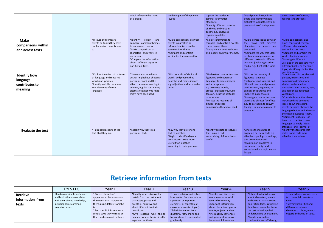|                                                              |                                                                                                                                                       | which influence the sound<br>of a poem.                                                                                                                                                                                       | on the impact of the poem's<br>layout.                                                                                                                          | support the reader in<br>gaining information<br>efficiently.<br>*Identify different patterns<br>of rhyme and verse in<br>poetry, e.g. choruses,<br>rhyming couplets,                                                                                                                          | *Read poems by significant<br>poets and identify what is<br>distinctive about the style or<br>presentation of their poems.                                                                                                                                                                                                                         | the expression of moods,<br>feelings and attitudes.                                                                                                                                                                                                                                                                                                                                                                                                                                |
|--------------------------------------------------------------|-------------------------------------------------------------------------------------------------------------------------------------------------------|-------------------------------------------------------------------------------------------------------------------------------------------------------------------------------------------------------------------------------|-----------------------------------------------------------------------------------------------------------------------------------------------------------------|-----------------------------------------------------------------------------------------------------------------------------------------------------------------------------------------------------------------------------------------------------------------------------------------------|----------------------------------------------------------------------------------------------------------------------------------------------------------------------------------------------------------------------------------------------------------------------------------------------------------------------------------------------------|------------------------------------------------------------------------------------------------------------------------------------------------------------------------------------------------------------------------------------------------------------------------------------------------------------------------------------------------------------------------------------------------------------------------------------------------------------------------------------|
| <b>Make</b><br>comparisons within<br>and across texts        | *Discuss and compare<br>events or topics they have<br>read about or have listened<br>to.                                                              | *Identify, collect<br>and<br>compare common themes<br>in stories and poems.<br>*Make comparisons of<br>characters and events in<br>narratives.<br>*Compare the information<br>about different topics in<br>non-fiction texts. | *Make comparisons between<br>events in narrative or<br>information texts on the<br>same topic or theme.<br>*Compare and contrast<br>writing by the same author. | *Collect information to<br>compare and contrast events,<br>characters or ideas.<br>*Compare and contrast books<br>and poems on similar themes.                                                                                                                                                | *Make comparisons between<br>the ways that different<br>characters or events are<br>presented.<br>*Compare the way that ideas<br>or themes are presented in<br>different texts or in different<br>versions (including in other<br>media, e.g. film) of the same<br>text.                                                                           | *Make comparisons and<br>draw contrasts between<br>different elements of a<br>text and across texts.<br>*Compare and contrast the<br>work of a single author.<br>*Investigate different<br>versions of the same story or<br>different books on the same<br>topic, identifying similarities                                                                                                                                                                                         |
| <b>Identify how</b><br>language<br>contributes to<br>meaning | *Explore the effect of patterns<br>of language and repeated<br>words and phrases.<br>*Identify and discuss some<br>key elements of story<br>language. | *Speculate about why an<br>author might have chosen a<br>particular word and the<br>effect they were wanting to<br>achieve, e.g. by considering<br>alternative synonyms that<br>might have been used.                         | *Discuss authors' choice of<br>words and phrases that<br>describe and create impact,<br>e.g. adjectives and expressive<br>verbs.                                | *Understand how writers use<br>figurative and expressive<br>language to create images<br>and atmosphere,<br>e.g. to create moods,<br>arouse expectations, build<br>tension, describe attitudes<br>or emotions.<br>*Discuss the meaning of<br>similes and other<br>comparisons they have read. | *Discuss the meaning of<br>figurative language<br>(metaphors and similes) and<br>idiomatic words and phrases<br>used in a text, beginning to<br>explain the purpose and<br>impact of such choices.<br>*Investigate how writers use<br>words and phrases for effect,<br>e.g. to persuade, to convey<br>feelings, to entice a reader to<br>continue. | *Identify and discuss idiomatic<br>phrases, expressions and<br>comparisons (metaphors,<br>similes and embedded<br>metaphors) met in texts, using<br>an appropriate technical<br>vocabulary.<br>*Consider how authors have<br>introduced and extended<br>ideas about characters.<br>events or topics through the<br>language choices and the way<br>they have developed them.<br>*Comment critically on<br>how a writer uses<br>language to imply ideas,<br>attitudes and points of |
| <b>Evaluate the text</b>                                     | *Talk about aspects of the<br>text that they like.                                                                                                    | *Explain why they like a<br>particular text.                                                                                                                                                                                  | *Say why they prefer one<br>text to another.<br>*Begin to identify why one<br>non-fiction text is more<br>useful than another,<br>according to their purpose.   | *Identify aspects or features<br>that make a text<br>entertaining, informative or<br>useful.                                                                                                                                                                                                  | *Analyse the features of<br>engaging or useful texts e.g.<br>effective openings or endings,<br>the presentation and<br>resolution of problems (in<br>narratives), clarity and<br>enthusiasm for a topic in non-<br>fiction.                                                                                                                        | *Identify the features that<br>make some texts more<br>effective than others.                                                                                                                                                                                                                                                                                                                                                                                                      |

#### **Retrieve information from texts**

|                  | <b>EYFS ELG</b>               | Year 1                        | Year 2                        | Year 3                        | Year 4                    | Year 5                        | Year 6                      |
|------------------|-------------------------------|-------------------------------|-------------------------------|-------------------------------|---------------------------|-------------------------------|-----------------------------|
| Retrieve         | -Read aloud simple sentences  | *Discuss characters'          | *Identify what is known for   | *Locate, retrieve and collect | *Identify and discuss key | *Establish what is known      | *Use evidence from across a |
|                  | and books that are consistent | appearance, behaviour and     | certain from the text about   | information from texts about  | sentences and words in    | about characters, events      | text to explain events or   |
| information from | with their phonic knowledge,  | the events that happen to     | characters, places and        | significant or important      | texts which convey        | and ideas in narrative and    | ideas.                      |
| texts            | including some common         | them, using details from the  | events in narrative and       | elements or aspects (e.g.     | important information     | non-fiction texts, retrieving | *Identify similarities and  |
|                  | exception words               | text.                         | about different topics in     | characters, events, topics).  | about characters, places, | details and examples from     | differences between         |
|                  |                               | *Find specific information in | non-fiction.                  | *Take information from        | events, objects or ideas. | the text to back up their     | characters, places, events, |
|                  |                               | simple texts they've read or  | *Give reasons why things      | diagrams, flow charts and     | *Pick out key sentences   | understanding or argument.    | objects and ideas in texts. |
|                  |                               | that has been read to them.   | happen where this is directly | forms where it is presented   | and phrases that convey   | *Locate information           |                             |
|                  |                               |                               | explained in the text.        | graphically.                  | important information.    | confidently and efficiently,  |                             |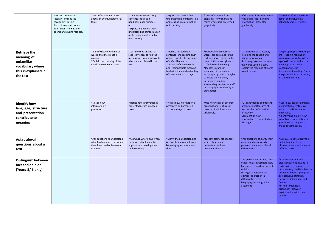|                                                                                                         | -Use and understand<br>recently , introduced<br>vocabulary during<br>discussion about stories,<br>non-fiction, rhymes and<br>poems and during role play | *Find information in a text<br>about an event, character or<br>topic.                                                           | *Locate information using<br>contents, index, sub-<br>headings, page numbers<br>etc.<br>*Express and record their<br>understanding of information<br>orally, using simple graphics<br>or in writing. | *Express and record their<br>understanding of information<br>orally, using simple graphics<br>or in writing.                                                                                                                          | *Take information from<br>diagrams, flow charts and<br>forms where it is presented<br>graphically.                                                                                                                                                                                                                                                                  | of features of the information<br>text being read, including<br>information presented<br>graphically.                                                                                                                          | *Retrieve information from<br>texts and evaluate its<br>reliability and usefulness.                                                                                                                                                                                                                                  |
|---------------------------------------------------------------------------------------------------------|---------------------------------------------------------------------------------------------------------------------------------------------------------|---------------------------------------------------------------------------------------------------------------------------------|------------------------------------------------------------------------------------------------------------------------------------------------------------------------------------------------------|---------------------------------------------------------------------------------------------------------------------------------------------------------------------------------------------------------------------------------------|---------------------------------------------------------------------------------------------------------------------------------------------------------------------------------------------------------------------------------------------------------------------------------------------------------------------------------------------------------------------|--------------------------------------------------------------------------------------------------------------------------------------------------------------------------------------------------------------------------------|----------------------------------------------------------------------------------------------------------------------------------------------------------------------------------------------------------------------------------------------------------------------------------------------------------------------|
| <b>Retrieve the</b><br>meaning of<br>unfamiliar<br>vocabulary where<br>this is explained in<br>the text |                                                                                                                                                         | *Identify new or unfamiliar<br>words that they meet in<br>reading.<br>*Explain the meaning of the<br>words they meet in a text. | *Learn to read on and re-<br>read sentences to find the<br>meaning of unfamiliar words<br>which are explained in the<br>text.                                                                        | *Practise re-reading a<br>sentence and reading on in<br>order to locate the meaning<br>of unfamiliar words.<br>*Discuss unfamiliar words<br>and their possible meaning<br>to clarify their understanding<br>of a sentence or passage. | *Decide where unfamiliar<br>words are explained in the<br>text or where they need to<br>use a dictionary or glossary<br>to find a word meaning.<br>*Identify unfamiliar<br>vocabulary in a text and<br>adopt appropriate strategies<br>to locate the meaning,<br>including re-reading<br>surrounding sentences and/<br>or paragraphs to identify an<br>explanation. | *Use a range of strategies,<br>including the context and<br>where necessary a<br>dictionary, to make sense of<br>the words used in a text.<br>Explain the meaning of words<br>used in a text.                                  | *Apply appropriate strategies<br>(re-reading, reading on,<br>visualising, word knowledge,<br>syntax) in order to find the<br>meaning of unfamiliar<br>vocabulary met in<br>independent reading. Check<br>the plausibility and accuracy<br>of their suggestions.                                                      |
| <b>Identify how</b><br>language, structure<br>and presentation<br>contribute to<br>meaning              |                                                                                                                                                         | *Notice how<br>information is<br>presented.                                                                                     | *Notice how information is<br>presented across a range of<br>texts.                                                                                                                                  | *Notice how information is<br>presented and organised<br>across a range of texts.                                                                                                                                                     | *Use knowledge of different<br>organisational features of<br>texts to find information<br>effectively.                                                                                                                                                                                                                                                              | *Use knowledge of different<br>organisational features of<br>texts to find information<br>effectively.<br>Comment on how<br>information is presented on<br>the page.                                                           | *Use knowledge of different<br>organisational features of<br>texts to find information<br>effectively.<br>*Identify and explain how<br>complicated information is<br>presented on the page to<br>make reading easier.                                                                                                |
| Ask retrieval<br>questions about a<br>text                                                              |                                                                                                                                                         | *Ask questions to understand<br>what has happened in stories<br>they have read or been read<br>to them.                         | *Ask what, where, and when<br>questions about a text to<br>support and develop their<br>understanding.                                                                                               | *Clarify their understanding<br>of events, ideas and topics<br>by asking questions about<br>them.                                                                                                                                     | *Identify elements of a text<br>which they do not<br>understand and ask<br>questions about it.                                                                                                                                                                                                                                                                      | *Ask questions to clarify their<br>understanding of words,<br>phrases, events and ideas in<br>different texts.                                                                                                                 | *Ask questions to clarify their<br>understanding of words,<br>phrases, events and ideas in<br>different texts.                                                                                                                                                                                                       |
| <b>Distinguish between</b><br>fact and opinion<br>(Years 5/6 only)                                      |                                                                                                                                                         |                                                                                                                                 |                                                                                                                                                                                                      |                                                                                                                                                                                                                                       |                                                                                                                                                                                                                                                                                                                                                                     | *In persuasive writing and<br>other texts investigate how<br>language is used to present<br>opinion.<br>Distinguish between fact,<br>opinion and fiction in<br>different texts, e.g.<br>biography, autobiography,<br>argument. | *In autobiography and<br>biographical writing, and in<br>texts written for mixed<br>purposes (e.g. leaflets that are<br>both information giving and<br>persuasive), distinguish<br>between fact, opinion and<br>fiction.<br>*In non-fiction texts<br>distinguish between<br>explicit and implicit points<br>of view. |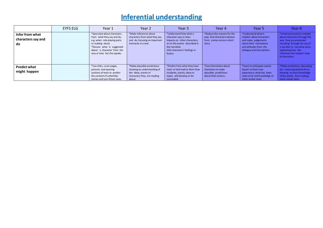# **Inferential understanding**

|                                             | <b>EYFS ELG</b> | Year 1                                                                                                                                                                                                   | Year <sub>2</sub>                                                                                                           | Year <sub>3</sub>                                                                                                                                                                | Year 4                                                                                            | Year 5                                                                                                                                                    | Year 6                                                                                                                                                                                                                            |
|---------------------------------------------|-----------------|----------------------------------------------------------------------------------------------------------------------------------------------------------------------------------------------------------|-----------------------------------------------------------------------------------------------------------------------------|----------------------------------------------------------------------------------------------------------------------------------------------------------------------------------|---------------------------------------------------------------------------------------------------|-----------------------------------------------------------------------------------------------------------------------------------------------------------|-----------------------------------------------------------------------------------------------------------------------------------------------------------------------------------------------------------------------------------|
| Infer from what<br>characters say and<br>do |                 | *Speculate about characters<br>from what they say and do,<br>e.g. when role playing parts<br>or reading aloud.<br>*Discuss what is suggested<br>about a character from the<br>way or how he/ she speaks. | *Make inferences about<br>characters from what they say<br>and do, focusing on important<br>moments in a text.              | *Understand how what a<br>character says or does<br>impacts on other characters,<br>or on the events described in<br>the narrative.<br>Infer characters' feelings in<br>fiction. | *Deduce the reasons for the<br>way that characters behave<br>from scenes across a short<br>story. | *Understand what is<br>implied about characters<br>and make judgements<br>about their motivations<br>and attitudes from the<br>dialogue and descriptions. | *Understand what is implied<br>about characters through the<br>way they are presented,<br>including through the use of<br>a narrator or narrative voice,<br>explaining how this<br>influences the readers' view<br>of characters. |
| <b>Predict what</b><br>might happen         |                 | *Use titles, cover pages,<br>pictures and opening<br>sections of texts to predict<br>the content of unfamiliar<br>stories and non-fiction texts.                                                         | *Make plausible predictions<br>showing an understanding of<br>the ideas, events or<br>characters they are reading<br>about. | *Predict from what they have<br>read or had read to them how<br>incidents, events, ideas or<br>topics will develop or be<br>concluded.                                           | *Use information about<br>characters to make<br>plausible predictions<br>about their actions.     | *Learn to anticipate events<br>based on their own<br>experience, what has been<br>read so far and knowledge of<br>other similar texts.                    | *Make predictions, discussing<br>the reasoning behind them,<br>drawing on their knowledge<br>of the world, from reading<br>other similar texts                                                                                    |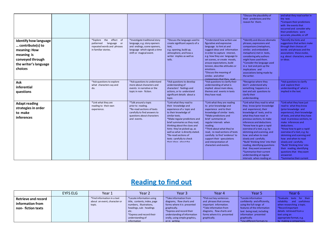|                                                                                                                                        |                                                                                                             |                                                                                                                                                           |                                                                                                                                                                                                                                                                                                                                                                           |                                                                                                                                                                                                                                                                                                                                                                                          | *Discuss the plausibility of<br>their predictions and the<br>reason for them.                                                                                                                                                                                                                                                                                                                                                                                                                                                               | and what they read earlier in<br>the text.<br>*Compare their predictions<br>with the events that<br>occurred and consider why<br>their predictions were<br>accurate, plausible, or off                                                                                                                                                                                                                                                                                                         |
|----------------------------------------------------------------------------------------------------------------------------------------|-------------------------------------------------------------------------------------------------------------|-----------------------------------------------------------------------------------------------------------------------------------------------------------|---------------------------------------------------------------------------------------------------------------------------------------------------------------------------------------------------------------------------------------------------------------------------------------------------------------------------------------------------------------------------|------------------------------------------------------------------------------------------------------------------------------------------------------------------------------------------------------------------------------------------------------------------------------------------------------------------------------------------------------------------------------------------|---------------------------------------------------------------------------------------------------------------------------------------------------------------------------------------------------------------------------------------------------------------------------------------------------------------------------------------------------------------------------------------------------------------------------------------------------------------------------------------------------------------------------------------------|------------------------------------------------------------------------------------------------------------------------------------------------------------------------------------------------------------------------------------------------------------------------------------------------------------------------------------------------------------------------------------------------------------------------------------------------------------------------------------------------|
| <b>Identify how language</b><br>contribute(s) to<br>meaning: How<br>meaning is<br>conveyed through<br>the writer's language<br>choices | the effect of<br>*Explore<br>language or<br>patterned<br>repeated words and phrases<br>in familiar stories. | *Investigate traditional story<br>language, e.g. story openers<br>and endings, scene openers,<br>language which signals a time<br>shift or magical event. | *Discuss the language used to<br>create significant aspects of a<br>text,<br>e.g. opening, build up,<br>atmosphere, and how a<br>writer implies as well as<br>tells.                                                                                                                                                                                                      | *Understand how writers use<br>figurative and expressive<br>language to hint at and<br>suggest ideas and information<br>in order to capture interest,<br>e.g. how they use language to<br>set scenes, or create moods,<br>arouse expectations, build<br>tension, describe attitudes or<br>emotions.<br>*Discuss the meaning of<br>similes and other<br>comparisons that they read        | *Identify and discuss idiomatic<br>phrases, expressions and<br>comparisons (metaphors,<br>similes and embedded<br>metaphors) met in texts,<br>considering why authors<br>might have used them.<br>*Consider the language used<br>in a text and pick up the<br>implications and<br>associations being made by<br>the writer.                                                                                                                                                                                                                 | *Identify the hints and<br>suggestions that writers make<br>through their choices of<br>words and phrases and the<br>associations these evoke,<br>e.g. about characters, events<br>or ideas.                                                                                                                                                                                                                                                                                                   |
| Ask<br>inferential<br>questions                                                                                                        | *Ask questions to explore<br>what characters say and<br>do.                                                 | *Ask questions to understand<br>more about characters and<br>events in narrative or the<br>topic in non-fiction.                                          | *Ask questions to develop<br>understanding of<br>characters' feelings and<br>actions, or to understand<br>significant details about a<br>topic.                                                                                                                                                                                                                           | *Ask questions to clarify their<br>understanding of what is<br>implied about main ideas,<br>themes and events in texts<br>they have read.                                                                                                                                                                                                                                                | *Recognise where they<br>don't understand why<br>something happens in a<br>text and ask questions to<br>clarify their<br>understanding.                                                                                                                                                                                                                                                                                                                                                                                                     | *Ask questions to clarify<br>and explore their<br>understanding of what is<br>implied in the text.                                                                                                                                                                                                                                                                                                                                                                                             |
| <b>Adapt reading</b><br>strategies in order<br>to make<br>inferences                                                                   | *Link what they are<br>reading to their own<br>experience.                                                  | *Talk around a topic<br>prior to reading.<br>*Re-read sections of texts<br>carefully to find answers to<br>questions about characters<br>and events.      | *Link what they read to<br>their knowledge and<br>experience of a topic and<br>to their knowledge of<br>similar texts.<br>*Make regular predictions and<br>brief summaries as they read,<br>thinking about the clues and<br>hints they've picked up, as<br>well as what is directly stated.<br>*Re-read sections of<br>texts carefully to check<br>their ideas, about the | *Link what they are reading<br>to prior knowledge and<br>experience and to their<br>knowledge of similar texts.<br>*Make predictions and<br>brief summaries at<br>regular intervals when<br>reading.<br>*Think about what they've<br>read, re-read sections of texts<br>carefully to find 'evidence' to<br>support their speculations<br>and interpretation of<br>characters and events. | *Link what they read to what<br>they know (prior knowledge<br>and experience), their<br>knowledge of texts, and to<br>what they have read in<br>previous sections, to make<br>inferences and deductions.<br>*Know how to gain a rapid<br>overview of a text, e.g. by<br>skimming and scanning, and<br>how and when to read<br>slowly and carefully.<br>*Build 'thinking time' into their<br>reading, identifying questions<br>that they want answered.<br>*Summarise their current<br>understanding at regular<br>intervals when reading an | *Link what they have just<br>read to what they know<br>(prior knowledge and<br>experience), their knowledge<br>of texts, and what they have<br>read in previous sections, to<br>make inferences and<br>deductions.<br>*Know how to gain a rapid<br>overview of a text, e.g. by<br>skimming and scanning and<br>how and when to read<br>slowly and carefully.<br>*Build 'thinking time' into<br>their reading, identifying<br>questions that they want<br>answered.<br>*Summarise their current |

### **Reading to find out**

|                                                | EYFS ELG | Year 1                                                      | Year 2                                                    | Year 3                                                    | Year 4                                                   | Year 5                                                 | Year 6                                                  |
|------------------------------------------------|----------|-------------------------------------------------------------|-----------------------------------------------------------|-----------------------------------------------------------|----------------------------------------------------------|--------------------------------------------------------|---------------------------------------------------------|
| <b>Retrieve and record</b><br>information from |          | *Find information in a text<br>about an event, character or | *Locate information using<br>title, contents, index, page | *Take information from<br>diagrams, flow charts and       | *Pick out key sentences<br>and phrases that convey       | *Locate information<br>confidently and efficiently,    | *Evaluate texts for their<br>reliability and usefulness |
| non- fiction texts                             |          | topic.                                                      | numbers, illustrations,<br>headings, sub-headings         | forms where it is presented<br>graphically.               | important information.<br>*Take information from         | using the full range of<br>features of the information | when researching a topic.<br>*Record important          |
|                                                |          |                                                             | etc.<br>*Express and record their                         | *Express and record their<br>understanding of information | diagrams, flow charts and<br>forms where it is presented | text being read, including<br>information presented    | details retrieved from a<br>text using an               |
|                                                |          |                                                             | understanding of<br>information                           | orally, using simple graphics,<br>or in writing.          | graphically.                                             | graphically.<br>*Use different formats to              | appropriate format, e.g.<br>by making a comparisons     |